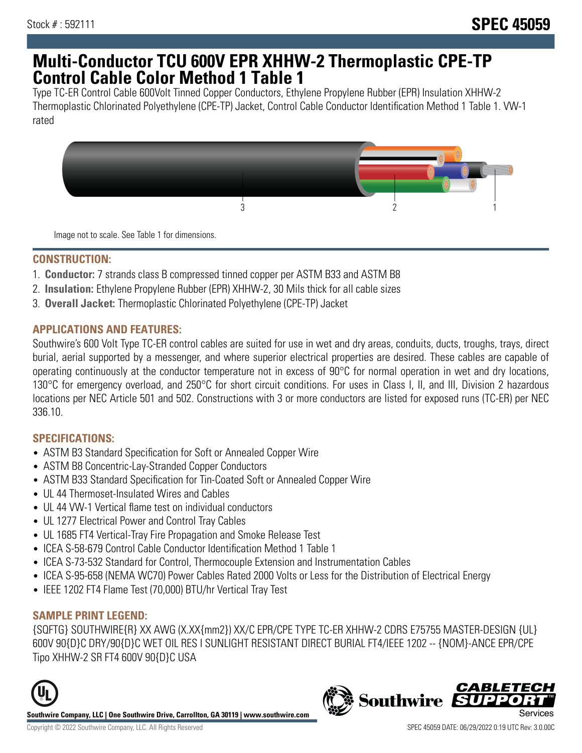# **Multi-Conductor TCU 600V EPR XHHW-2 Thermoplastic CPE-TP Control Cable Color Method 1 Table 1**

Type TC-ER Control Cable 600Volt Tinned Copper Conductors, Ethylene Propylene Rubber (EPR) Insulation XHHW-2 Thermoplastic Chlorinated Polyethylene (CPE-TP) Jacket, Control Cable Conductor Identification Method 1 Table 1. VW-1 rated



Image not to scale. See Table 1 for dimensions.

#### **CONSTRUCTION:**

- 1. **Conductor:** 7 strands class B compressed tinned copper per ASTM B33 and ASTM B8
- 2. **Insulation:** Ethylene Propylene Rubber (EPR) XHHW-2, 30 Mils thick for all cable sizes
- 3. **Overall Jacket:** Thermoplastic Chlorinated Polyethylene (CPE-TP) Jacket

#### **APPLICATIONS AND FEATURES:**

Southwire's 600 Volt Type TC-ER control cables are suited for use in wet and dry areas, conduits, ducts, troughs, trays, direct burial, aerial supported by a messenger, and where superior electrical properties are desired. These cables are capable of operating continuously at the conductor temperature not in excess of 90°C for normal operation in wet and dry locations, 130°C for emergency overload, and 250°C for short circuit conditions. For uses in Class I, II, and III, Division 2 hazardous locations per NEC Article 501 and 502. Constructions with 3 or more conductors are listed for exposed runs (TC-ER) per NEC 336.10.

## **SPECIFICATIONS:**

- ASTM B3 Standard Specification for Soft or Annealed Copper Wire
- ASTM B8 Concentric-Lay-Stranded Copper Conductors
- ASTM B33 Standard Specification for Tin-Coated Soft or Annealed Copper Wire
- UL 44 Thermoset-Insulated Wires and Cables
- UL 44 VW-1 Vertical flame test on individual conductors
- UL 1277 Electrical Power and Control Tray Cables
- UL 1685 FT4 Vertical-Tray Fire Propagation and Smoke Release Test
- ICEA S-58-679 Control Cable Conductor Identification Method 1 Table 1
- ICEA S-73-532 Standard for Control, Thermocouple Extension and Instrumentation Cables
- ICEA S-95-658 (NEMA WC70) Power Cables Rated 2000 Volts or Less for the Distribution of Electrical Energy
- IEEE 1202 FT4 Flame Test (70,000) BTU/hr Vertical Tray Test

## **SAMPLE PRINT LEGEND:**

{SQFTG} SOUTHWIRE{R} XX AWG (X.XX{mm2}) XX/C EPR/CPE TYPE TC-ER XHHW-2 CDRS E75755 MASTER-DESIGN {UL} 600V 90{D}C DRY/90{D}C WET OIL RES I SUNLIGHT RESISTANT DIRECT BURIAL FT4/IEEE 1202 -- {NOM}-ANCE EPR/CPE Tipo XHHW-2 SR FT4 600V 90{D}C USA



**Southwire Company, LLC | One Southwire Drive, Carrollton, GA 30119 | www.southwire.com**